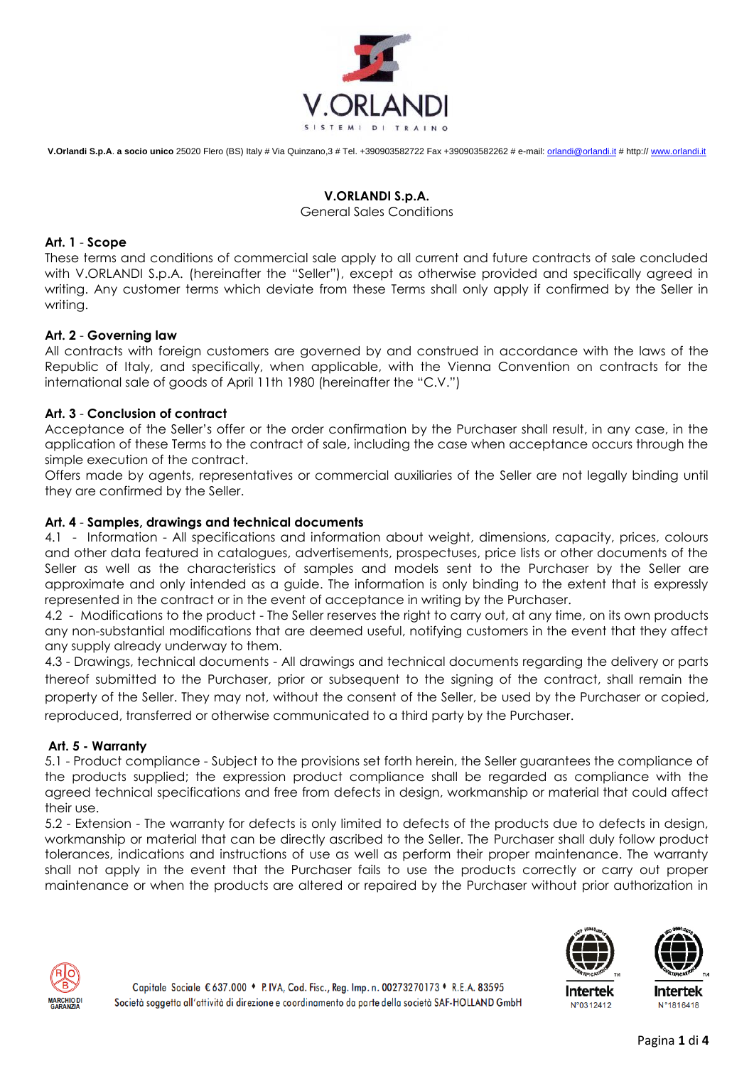

# **V.ORLANDI S.p.A.**

#### General Sales Conditions

# **Art. 1** - **Scope**

These terms and conditions of commercial sale apply to all current and future contracts of sale concluded with V.ORLANDI S.p.A. (hereinafter the "Seller"), except as otherwise provided and specifically agreed in writing. Any customer terms which deviate from these Terms shall only apply if confirmed by the Seller in writing.

# **Art. 2** - **Governing law**

All contracts with foreign customers are governed by and construed in accordance with the laws of the Republic of Italy, and specifically, when applicable, with the Vienna Convention on contracts for the international sale of goods of April 11th 1980 (hereinafter the "C.V.")

# **Art. 3** - **Conclusion of contract**

Acceptance of the Seller's offer or the order confirmation by the Purchaser shall result, in any case, in the application of these Terms to the contract of sale, including the case when acceptance occurs through the simple execution of the contract.

Offers made by agents, representatives or commercial auxiliaries of the Seller are not legally binding until they are confirmed by the Seller.

# **Art. 4** - **Samples, drawings and technical documents**

4.1 - Information - All specifications and information about weight, dimensions, capacity, prices, colours and other data featured in catalogues, advertisements, prospectuses, price lists or other documents of the Seller as well as the characteristics of samples and models sent to the Purchaser by the Seller are approximate and only intended as a guide. The information is only binding to the extent that is expressly represented in the contract or in the event of acceptance in writing by the Purchaser.

4.2 - Modifications to the product - The Seller reserves the right to carry out, at any time, on its own products any non-substantial modifications that are deemed useful, notifying customers in the event that they affect any supply already underway to them.

4.3 - Drawings, technical documents - All drawings and technical documents regarding the delivery or parts thereof submitted to the Purchaser, prior or subsequent to the signing of the contract, shall remain the property of the Seller. They may not, without the consent of the Seller, be used by the Purchaser or copied, reproduced, transferred or otherwise communicated to a third party by the Purchaser.

## **Art. 5 - Warranty**

5.1 - Product compliance - Subject to the provisions set forth herein, the Seller guarantees the compliance of the products supplied; the expression product compliance shall be regarded as compliance with the agreed technical specifications and free from defects in design, workmanship or material that could affect their use.

5.2 - Extension - The warranty for defects is only limited to defects of the products due to defects in design, workmanship or material that can be directly ascribed to the Seller. The Purchaser shall duly follow product tolerances, indications and instructions of use as well as perform their proper maintenance. The warranty shall not apply in the event that the Purchaser fails to use the products correctly or carry out proper maintenance or when the products are altered or repaired by the Purchaser without prior authorization in





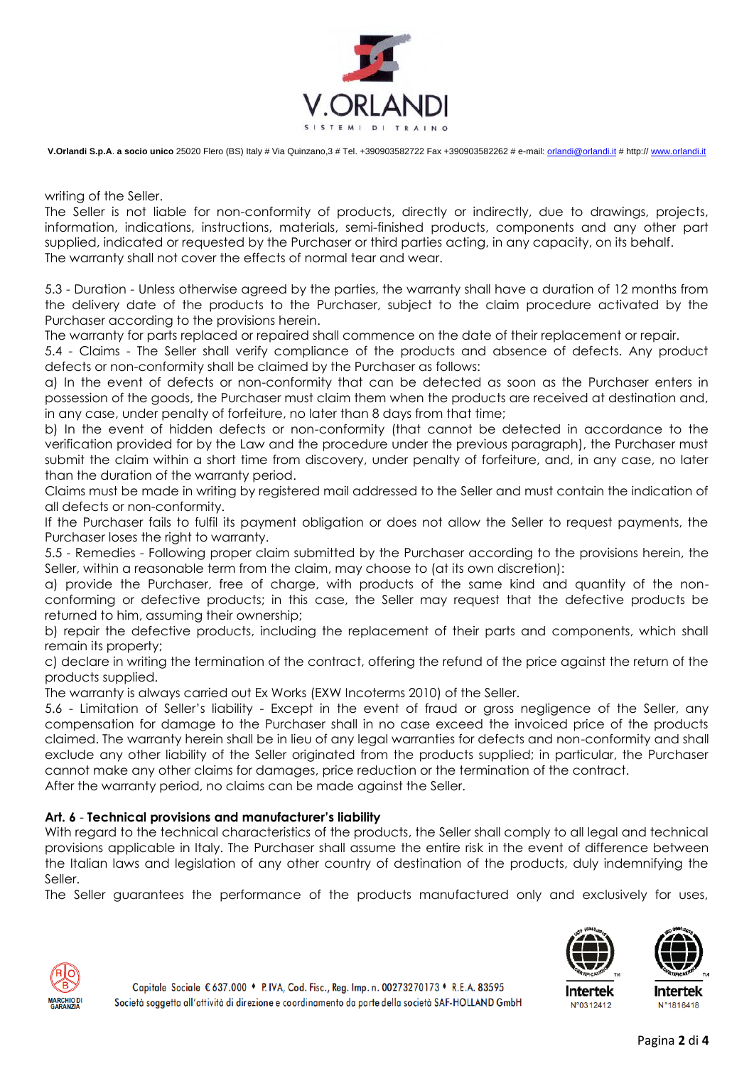

writing of the Seller.

The Seller is not liable for non-conformity of products, directly or indirectly, due to drawings, projects, information, indications, instructions, materials, semi-finished products, components and any other part supplied, indicated or requested by the Purchaser or third parties acting, in any capacity, on its behalf. The warranty shall not cover the effects of normal tear and wear.

5.3 - Duration - Unless otherwise agreed by the parties, the warranty shall have a duration of 12 months from the delivery date of the products to the Purchaser, subject to the claim procedure activated by the Purchaser according to the provisions herein.

The warranty for parts replaced or repaired shall commence on the date of their replacement or repair.

5.4 - Claims - The Seller shall verify compliance of the products and absence of defects. Any product defects or non-conformity shall be claimed by the Purchaser as follows:

a) In the event of defects or non-conformity that can be detected as soon as the Purchaser enters in possession of the goods, the Purchaser must claim them when the products are received at destination and, in any case, under penalty of forfeiture, no later than 8 days from that time;

b) In the event of hidden defects or non-conformity (that cannot be detected in accordance to the verification provided for by the Law and the procedure under the previous paragraph), the Purchaser must submit the claim within a short time from discovery, under penalty of forfeiture, and, in any case, no later than the duration of the warranty period.

Claims must be made in writing by registered mail addressed to the Seller and must contain the indication of all defects or non-conformity.

If the Purchaser fails to fulfil its payment obligation or does not allow the Seller to request payments, the Purchaser loses the right to warranty.

5.5 - Remedies - Following proper claim submitted by the Purchaser according to the provisions herein, the Seller, within a reasonable term from the claim, may choose to (at its own discretion):

a) provide the Purchaser, free of charge, with products of the same kind and quantity of the nonconforming or defective products; in this case, the Seller may request that the defective products be returned to him, assuming their ownership;

b) repair the defective products, including the replacement of their parts and components, which shall remain its property;

c) declare in writing the termination of the contract, offering the refund of the price against the return of the products supplied.

The warranty is always carried out Ex Works (EXW Incoterms 2010) of the Seller.

5.6 - Limitation of Seller's liability - Except in the event of fraud or gross negligence of the Seller, any compensation for damage to the Purchaser shall in no case exceed the invoiced price of the products claimed. The warranty herein shall be in lieu of any legal warranties for defects and non-conformity and shall exclude any other liability of the Seller originated from the products supplied; in particular, the Purchaser cannot make any other claims for damages, price reduction or the termination of the contract.

After the warranty period, no claims can be made against the Seller.

## **Art. 6** - **Technical provisions and manufacturer's liability**

With regard to the technical characteristics of the products, the Seller shall comply to all legal and technical provisions applicable in Italy. The Purchaser shall assume the entire risk in the event of difference between the Italian laws and legislation of any other country of destination of the products, duly indemnifying the Seller.

The Seller guarantees the performance of the products manufactured only and exclusively for uses,



N°0312412



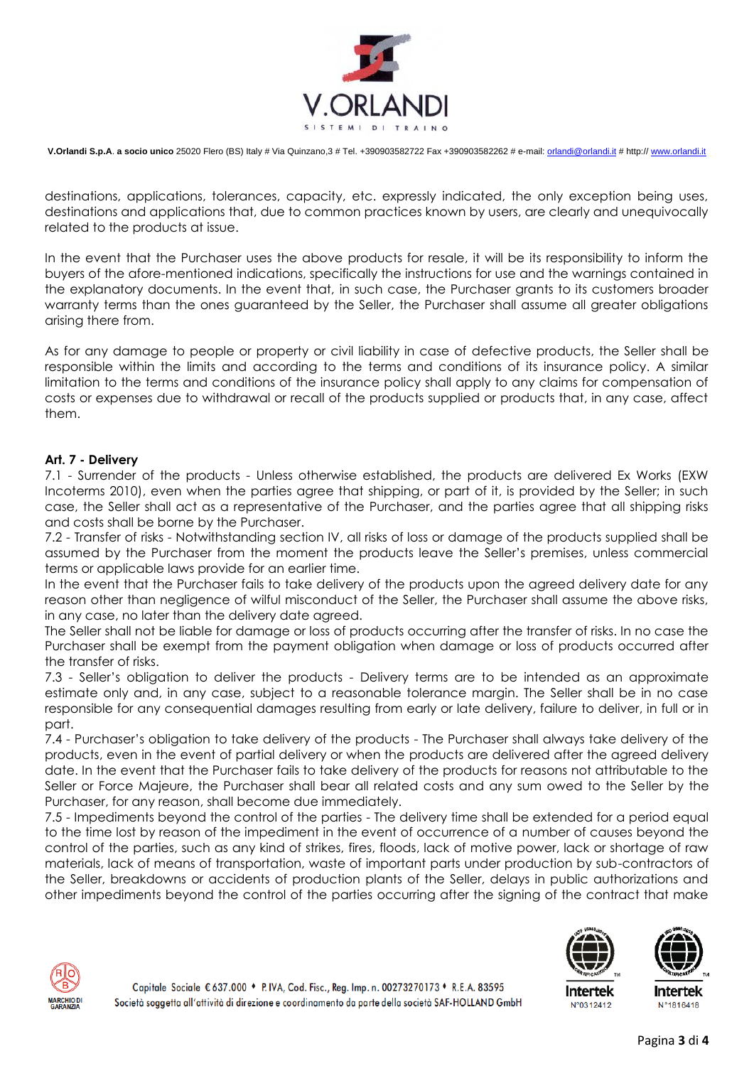

destinations, applications, tolerances, capacity, etc. expressly indicated, the only exception being uses, destinations and applications that, due to common practices known by users, are clearly and unequivocally related to the products at issue.

In the event that the Purchaser uses the above products for resale, it will be its responsibility to inform the buyers of the afore-mentioned indications, specifically the instructions for use and the warnings contained in the explanatory documents. In the event that, in such case, the Purchaser grants to its customers broader warranty terms than the ones guaranteed by the Seller, the Purchaser shall assume all greater obligations arising there from.

As for any damage to people or property or civil liability in case of defective products, the Seller shall be responsible within the limits and according to the terms and conditions of its insurance policy. A similar limitation to the terms and conditions of the insurance policy shall apply to any claims for compensation of costs or expenses due to withdrawal or recall of the products supplied or products that, in any case, affect them.

#### **Art. 7 - Delivery**

7.1 - Surrender of the products - Unless otherwise established, the products are delivered Ex Works (EXW Incoterms 2010), even when the parties agree that shipping, or part of it, is provided by the Seller; in such case, the Seller shall act as a representative of the Purchaser, and the parties agree that all shipping risks and costs shall be borne by the Purchaser.

7.2 - Transfer of risks - Notwithstanding section IV, all risks of loss or damage of the products supplied shall be assumed by the Purchaser from the moment the products leave the Seller's premises, unless commercial terms or applicable laws provide for an earlier time.

In the event that the Purchaser fails to take delivery of the products upon the agreed delivery date for any reason other than negligence of wilful misconduct of the Seller, the Purchaser shall assume the above risks, in any case, no later than the delivery date agreed.

The Seller shall not be liable for damage or loss of products occurring after the transfer of risks. In no case the Purchaser shall be exempt from the payment obligation when damage or loss of products occurred after the transfer of risks.

7.3 - Seller's obligation to deliver the products - Delivery terms are to be intended as an approximate estimate only and, in any case, subject to a reasonable tolerance margin. The Seller shall be in no case responsible for any consequential damages resulting from early or late delivery, failure to deliver, in full or in part.

7.4 - Purchaser's obligation to take delivery of the products - The Purchaser shall always take delivery of the products, even in the event of partial delivery or when the products are delivered after the agreed delivery date. In the event that the Purchaser fails to take delivery of the products for reasons not attributable to the Seller or Force Majeure, the Purchaser shall bear all related costs and any sum owed to the Seller by the Purchaser, for any reason, shall become due immediately.

7.5 - Impediments beyond the control of the parties - The delivery time shall be extended for a period equal to the time lost by reason of the impediment in the event of occurrence of a number of causes beyond the control of the parties, such as any kind of strikes, fires, floods, lack of motive power, lack or shortage of raw materials, lack of means of transportation, waste of important parts under production by sub-contractors of the Seller, breakdowns or accidents of production plants of the Seller, delays in public authorizations and other impediments beyond the control of the parties occurring after the signing of the contract that make